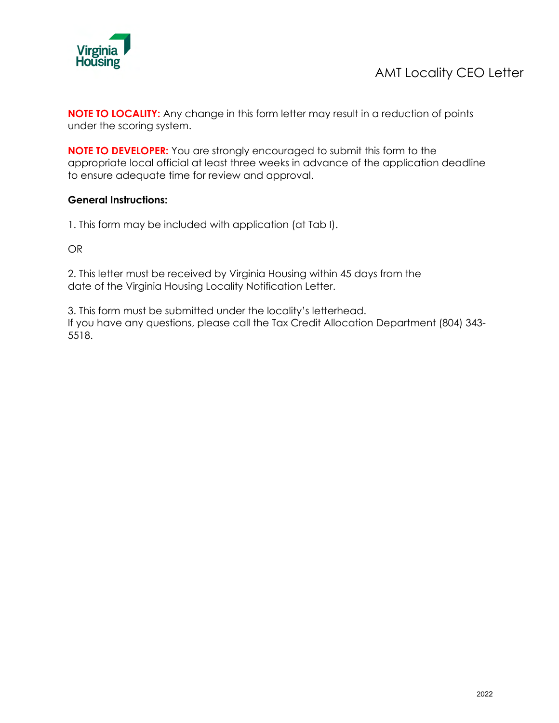

**NOTE TO LOCALITY:** Any change in this form letter may result in a reduction of points under the scoring system.

**NOTE TO DEVELOPER:** You are strongly encouraged to submit this form to the appropriate local official at least three weeks in advance of the application deadline to ensure adequate time for review and approval.

## **General Instructions:**

1. This form may be included with application (at Tab I).

OR

2. This letter must be received by Virginia Housing within 45 days from the date of the Virginia Housing Locality Notification Letter.

3. This form must be submitted under the locality's letterhead. If you have any questions, please call the Tax Credit Allocation Department (804) 343- 5518.